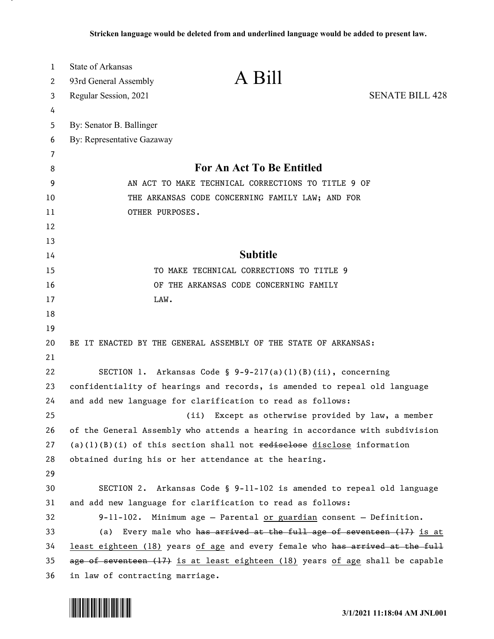| 1      | <b>State of Arkansas</b>        | A Bill                                                                        |                        |
|--------|---------------------------------|-------------------------------------------------------------------------------|------------------------|
| 2      | 93rd General Assembly           |                                                                               |                        |
| 3      | Regular Session, 2021           |                                                                               | <b>SENATE BILL 428</b> |
| 4      |                                 |                                                                               |                        |
| 5<br>6 | By: Senator B. Ballinger        |                                                                               |                        |
| 7      | By: Representative Gazaway      |                                                                               |                        |
| 8      |                                 | For An Act To Be Entitled                                                     |                        |
| 9      |                                 | AN ACT TO MAKE TECHNICAL CORRECTIONS TO TITLE 9 OF                            |                        |
| 10     |                                 | THE ARKANSAS CODE CONCERNING FAMILY LAW; AND FOR                              |                        |
| 11     | OTHER PURPOSES.                 |                                                                               |                        |
| 12     |                                 |                                                                               |                        |
| 13     |                                 |                                                                               |                        |
| 14     |                                 | <b>Subtitle</b>                                                               |                        |
| 15     |                                 | TO MAKE TECHNICAL CORRECTIONS TO TITLE 9                                      |                        |
| 16     |                                 | OF THE ARKANSAS CODE CONCERNING FAMILY                                        |                        |
| 17     | LAW.                            |                                                                               |                        |
| 18     |                                 |                                                                               |                        |
| 19     |                                 |                                                                               |                        |
| 20     |                                 | BE IT ENACTED BY THE GENERAL ASSEMBLY OF THE STATE OF ARKANSAS:               |                        |
| 21     |                                 |                                                                               |                        |
| 22     |                                 | SECTION 1. Arkansas Code $\S$ 9-9-217(a)(1)(B)(ii), concerning                |                        |
| 23     |                                 | confidentiality of hearings and records, is amended to repeal old language    |                        |
| 24     |                                 | and add new language for clarification to read as follows:                    |                        |
| 25     |                                 | Except as otherwise provided by law, a member<br>(ii)                         |                        |
| 26     |                                 | of the General Assembly who attends a hearing in accordance with subdivision  |                        |
| 27     |                                 | $(a)(1)(B)(i)$ of this section shall not redisclose disclose information      |                        |
| 28     |                                 | obtained during his or her attendance at the hearing.                         |                        |
| 29     |                                 |                                                                               |                        |
| 30     |                                 | SECTION 2. Arkansas Code § 9-11-102 is amended to repeal old language         |                        |
| 31     |                                 | and add new language for clarification to read as follows:                    |                        |
| 32     |                                 | 9-11-102. Minimum age - Parental or guardian consent - Definition.            |                        |
| 33     |                                 | (a) Every male who has arrived at the full age of seventeen (17) is at        |                        |
| 34     |                                 | least eighteen (18) years of age and every female who has arrived at the full |                        |
| 35     |                                 | age of seventeen (17) is at least eighteen (18) years of age shall be capable |                        |
| 36     | in law of contracting marriage. |                                                                               |                        |

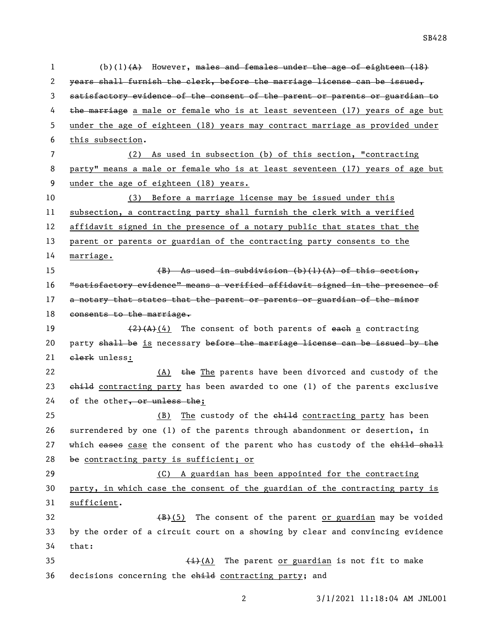(b)(1)(A) However, males and females under the age of eighteen (18) years shall furnish the clerk, before the marriage license can be issued, satisfactory evidence of the consent of the parent or parents or guardian to 4 the marriage a male or female who is at least seventeen (17) years of age but under the age of eighteen (18) years may contract marriage as provided under this subsection. (2) As used in subsection (b) of this section, "contracting party" means a male or female who is at least seventeen (17) years of age but under the age of eighteen (18) years. (3) Before a marriage license may be issued under this subsection, a contracting party shall furnish the clerk with a verified affidavit signed in the presence of a notary public that states that the parent or parents or guardian of the contracting party consents to the marriage. (B) As used in subdivision (b)(1)(A) of this section, "satisfactory evidence" means a verified affidavit signed in the presence of 17 a notary that states that the parent or parents or guardian of the minor 18 consents to the marriage.  $\left(\frac{2}{4}(4)\right)$  The consent of both parents of each a contracting 20 party shall be is necessary before the marriage license can be issued by the 21 elerk unless: 22 (A) the The parents have been divorced and custody of the 23 child contracting party has been awarded to one (1) of the parents exclusive 24 of the other, or unless the; 25 (B) The custody of the ehild contracting party has been surrendered by one (1) of the parents through abandonment or desertion, in 27 which eases case the consent of the parent who has custody of the child shall be contracting party is sufficient; or (C) A guardian has been appointed for the contracting party, in which case the consent of the guardian of the contracting party is sufficient.  $(B)+(5)$  The consent of the parent or guardian may be voided by the order of a circuit court on a showing by clear and convincing evidence that:  $\leftarrow$  (i)(A) The parent or guardian is not fit to make 36 decisions concerning the child contracting party; and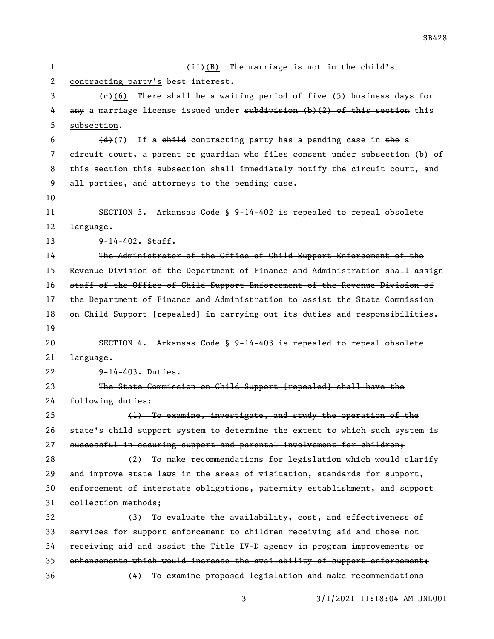| $\mathbf 1$    | $(iii)(B)$ The marriage is not in the child's                                  |  |  |
|----------------|--------------------------------------------------------------------------------|--|--|
| $\overline{2}$ | contracting party's best interest.                                             |  |  |
| 3              | $\leftarrow$ (6) There shall be a waiting period of five (5) business days for |  |  |
| 4              | any a marriage license issued under subdivision (b)(2) of this section this    |  |  |
| 5              | subsection.                                                                    |  |  |
| 6              | (d)(7) If a child contracting party has a pending case in the a                |  |  |
| 7              | circuit court, a parent or guardian who files consent under subsection (b) of  |  |  |
| 8              | this section this subsection shall immediately notify the circuit court, and   |  |  |
| 9              | all parties, and attorneys to the pending case.                                |  |  |
| 10             |                                                                                |  |  |
| 11             | SECTION 3. Arkansas Code § 9-14-402 is repealed to repeal obsolete             |  |  |
| 12             | language.                                                                      |  |  |
| 13             | $9 - 14 - 402$ . Staff.                                                        |  |  |
| 14             | The Administrator of the Office of Child Support Enforcement of the            |  |  |
| 15             | Revenue Division of the Department of Finance and Administration shall assign  |  |  |
| 16             | staff of the Office of Child Support Enforcement of the Revenue Division of    |  |  |
| 17             | the Department of Finance and Administration to assist the State Commission    |  |  |
| 18             | on Child Support [repealed] in carrying out its duties and responsibilities.   |  |  |
| 19             |                                                                                |  |  |
| 20             | SECTION 4. Arkansas Code § 9-14-403 is repealed to repeal obsolete             |  |  |
| 21             | language.                                                                      |  |  |
| 22             | $9 - 14 - 403$ . Duties.                                                       |  |  |
| 23             | The State Commission on Child Support [repealed] shall have the                |  |  |
| 24             | following duties:                                                              |  |  |
| 25             | (1) To examine, investigate, and study the operation of the                    |  |  |
| 26             | state's child support system to determine the extent to which such system is   |  |  |
| 27             | successful in securing support and parental involvement for children;          |  |  |
| 28             | (2) To make recommendations for legislation which would clarify                |  |  |
| 29             | and improve state laws in the areas of visitation, standards for support,      |  |  |
| 30             | enforcement of interstate obligations, paternity establishment, and support    |  |  |
| 31             | eollection methods;                                                            |  |  |
| 32             | (3) To evaluate the availability, cost, and effectiveness of                   |  |  |
| 33             | services for support enforcement to children receiving aid and those not       |  |  |
| 34             | receiving aid and assist the Title IV-D agency in program improvements or      |  |  |
| 35             | enhancements which would increase the availability of support enforcement;     |  |  |
|                |                                                                                |  |  |